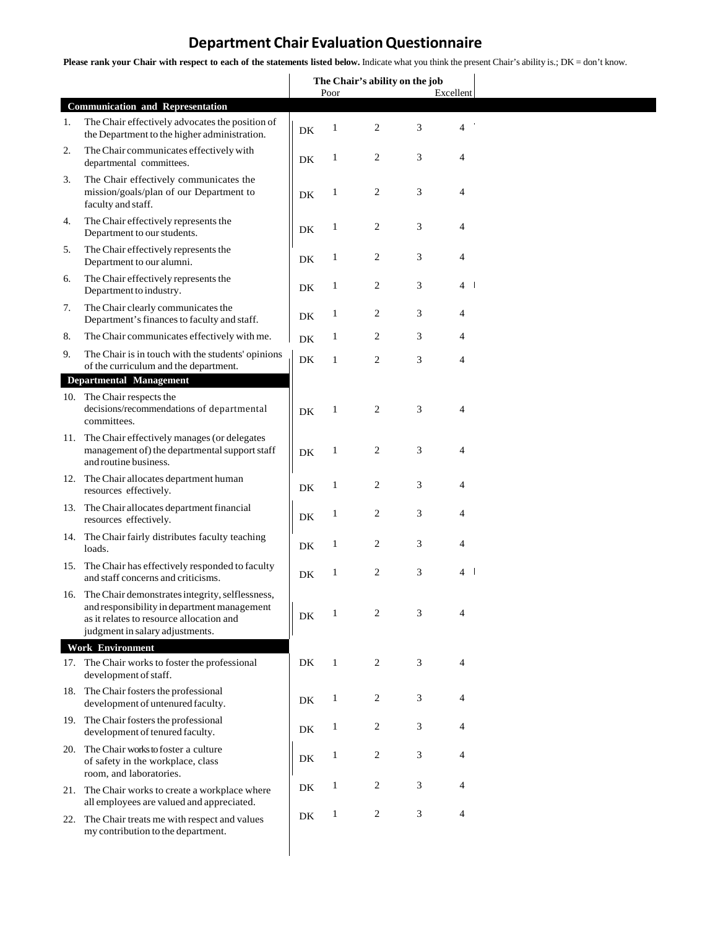## **Department Chair EvaluationQuestionnaire**

Please rank your Chair with respect to each of the statements listed below. Indicate what you think the present Chair's ability is.; DK = don't know.

|     |                                                                                                                                                                                   | The Chair's ability on the job |              |                |           |                |
|-----|-----------------------------------------------------------------------------------------------------------------------------------------------------------------------------------|--------------------------------|--------------|----------------|-----------|----------------|
|     |                                                                                                                                                                                   | Poor                           |              |                | Excellent |                |
| 1.  | <b>Communication and Representation</b><br>The Chair effectively advocates the position of<br>the Department to the higher administration.                                        | DK                             | 1            | $\overline{c}$ | 3         | $\overline{4}$ |
| 2.  | The Chair communicates effectively with<br>departmental committees.                                                                                                               | DK                             | $\mathbf{1}$ | 2              | 3         | 4              |
| 3.  | The Chair effectively communicates the<br>mission/goals/plan of our Department to<br>faculty and staff.                                                                           | DK                             | $\mathbf{1}$ | $\overline{c}$ | 3         | 4              |
| 4.  | The Chair effectively represents the<br>Department to our students.                                                                                                               | DK                             | $\mathbf{1}$ | $\overline{c}$ | 3         | 4              |
| 5.  | The Chair effectively represents the<br>Department to our alumni.                                                                                                                 | DK                             | $\mathbf{1}$ | 2              | 3         | 4              |
| 6.  | The Chair effectively represents the<br>Department to industry.                                                                                                                   | DK                             | $\mathbf{1}$ | $\overline{c}$ | 3         | 4 I            |
| 7.  | The Chair clearly communicates the<br>Department's finances to faculty and staff.                                                                                                 | DK                             | $\mathbf{1}$ | 2              | 3         | 4              |
| 8.  | The Chair communicates effectively with me.                                                                                                                                       | DK                             | $\mathbf{1}$ | 2              | 3         | 4              |
| 9.  | The Chair is in touch with the students' opinions<br>of the curriculum and the department.                                                                                        | DK                             | $\mathbf{1}$ | $\mathfrak{2}$ | 3         | 4              |
|     | <b>Departmental Management</b>                                                                                                                                                    |                                |              |                |           |                |
|     | 10. The Chair respects the<br>decisions/recommendations of departmental<br>committees.                                                                                            | DK                             | $\mathbf{1}$ | $\mathfrak{2}$ | 3         | 4              |
| 11. | The Chair effectively manages (or delegates<br>management of) the departmental support staff<br>and routine business.                                                             | DK                             | $\mathbf{1}$ | $\overline{c}$ | 3         | 4              |
|     | 12. The Chair allocates department human<br>resources effectively.                                                                                                                | DK                             | $\mathbf{1}$ | $\overline{c}$ | 3         | 4              |
|     | 13. The Chair allocates department financial<br>resources effectively.                                                                                                            | DK                             | $\mathbf{1}$ | $\mathfrak{2}$ | 3         | 4              |
|     | 14. The Chair fairly distributes faculty teaching<br>loads.                                                                                                                       | DK                             | $\mathbf{1}$ | $\overline{c}$ | 3         | 4              |
|     | 15. The Chair has effectively responded to faculty<br>and staff concerns and criticisms.                                                                                          | DK                             | $\mathbf{1}$ | $\overline{c}$ | 3         | 4              |
|     | 16. The Chair demonstrates integrity, selflessness,<br>and responsibility in department management<br>as it relates to resource allocation and<br>judgment in salary adjustments. | DK                             | 1            | 2              | 3         | 4              |
|     | <b>Work Environment</b>                                                                                                                                                           |                                |              |                |           |                |
|     | 17. The Chair works to foster the professional<br>development of staff.                                                                                                           | DK                             | $\mathbf{1}$ | $\overline{c}$ | 3         | 4              |
|     | 18. The Chair fosters the professional<br>development of untenured faculty.                                                                                                       | DK                             | 1            | $\overline{c}$ | 3         | 4              |
|     | 19. The Chair fosters the professional<br>development of tenured faculty.                                                                                                         | DK                             | 1            | 2              | 3         | 4              |
|     | 20. The Chair works to foster a culture<br>of safety in the workplace, class<br>room, and laboratories.                                                                           | DK                             | $\mathbf{1}$ | 2              | 3         | 4              |
|     | 21. The Chair works to create a workplace where<br>all employees are valued and appreciated.                                                                                      | DK                             | $\mathbf{1}$ | 2              | 3         | 4              |
|     | 22. The Chair treats me with respect and values<br>my contribution to the department.                                                                                             | DK                             | $\mathbf{1}$ | $\overline{c}$ | 3         | 4              |
|     |                                                                                                                                                                                   |                                |              |                |           |                |